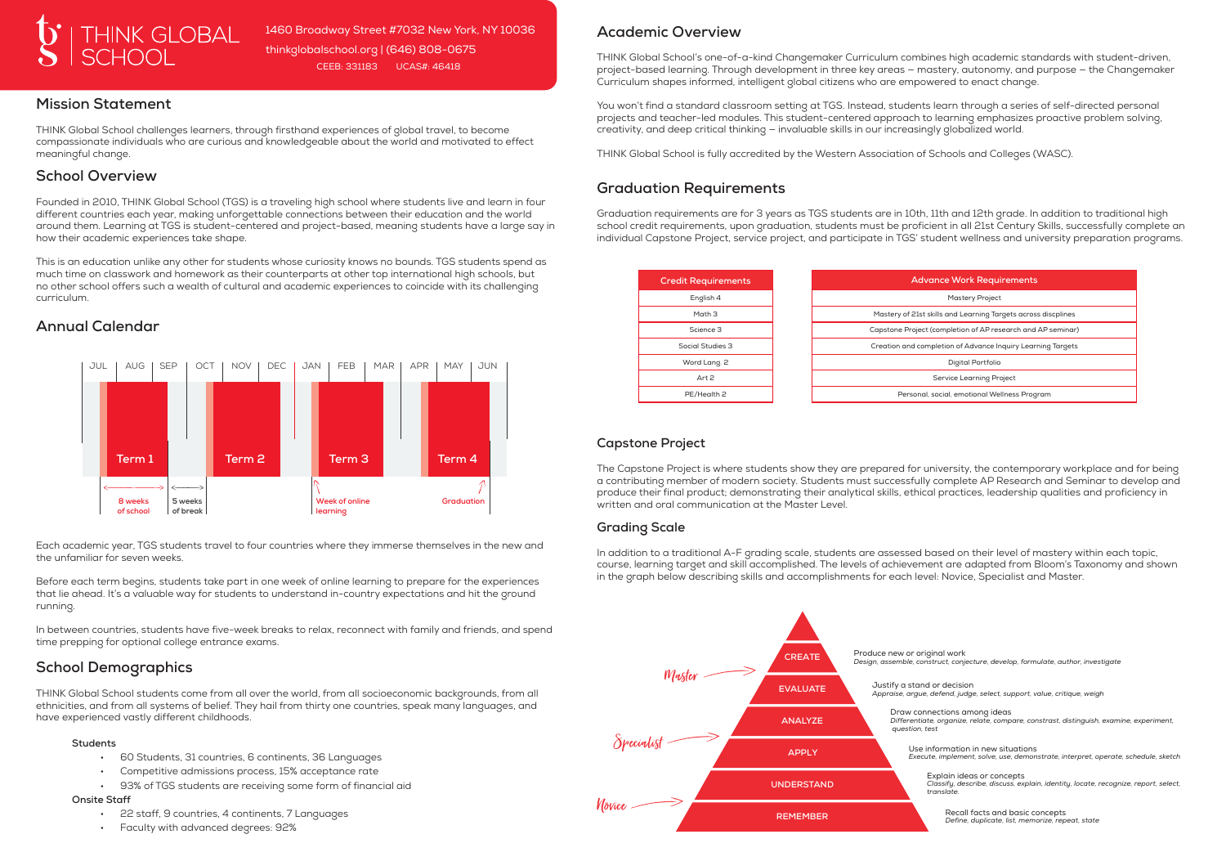## **Mission Statement**

THINK Global School challenges learners, through firsthand experiences of global travel, to become compassionate individuals who are curious and knowledgeable about the world and motivated to effect meaningful change.

## **School Overview**

Founded in 2010, THINK Global School (TGS) is a traveling high school where students live and learn in four different countries each year, making unforgettable connections between their education and the world around them. Learning at TGS is student-centered and project-based, meaning students have a large say in how their academic experiences take shape.

This is an education unlike any other for students whose curiosity knows no bounds. TGS students spend as much time on classwork and homework as their counterparts at other top international high schools, but no other school offers such a wealth of cultural and academic experiences to coincide with its challenging curriculum.

## **Annual Calendar**

### **Academic Overview**

THINK Global School's one-of-a-kind Changemaker Curriculum combines high academic standards with student-driven, project-based learning. Through development in three key areas — mastery, autonomy, and purpose — the Changemaker Curriculum shapes informed, intelligent global citizens who are empowered to enact change.

You won't find a standard classroom setting at TGS. Instead, students learn through a series of self-directed personal projects and teacher-led modules. This student-centered approach to learning emphasizes proactive problem solving, creativity, and deep critical thinking — invaluable skills in our increasingly globalized world.

THINK Global School is fully accredited by the Western Association of Schools and Colleges (WASC).

## **Graduation Requirements**

Graduation requirements are for 3 years as TGS students are in 10th, 11th and 12th grade. In addition to traditional high school credit requirements, upon graduation, students must be proficient in all 21st Century Skills, successfully complete an individual Capstone Project, service project, and participate in TGS' student wellness and university preparation programs.

- 60 Students, 31 countries, 6 continents, 36 Languages
- Competitive admissions process, 15% acceptance rate
- 93% of TGS students are receiving some form of financial aid

| <b>Credit Requirements</b> | <b>Advance Work Requirements</b>                              |  |
|----------------------------|---------------------------------------------------------------|--|
| English 4                  | <b>Mastery Project</b>                                        |  |
| Math 3                     | Mastery of 21st skills and Learning Targets across discplines |  |
| Science 3                  | Capstone Project (completion of AP research and AP seminar)   |  |
| Social Studies 3           | Creation and completion of Advance Inquiry Learning Targets   |  |
| Word Lang. 2               | Digital Portfolio                                             |  |
| Art 2                      | Service Learning Project                                      |  |
| PE/Health 2                | Personal, social, emotional Wellness Program                  |  |

### **Capstone Project**

The Capstone Project is where students show they are prepared for university, the contemporary workplace and for being a contributing member of modern society. Students must successfully complete AP Research and Seminar to develop and produce their final product; demonstrating their analytical skills, ethical practices, leadership qualities and proficiency in written and oral communication at the Master Level.

#### **Grading Scale**

In addition to a traditional A-F grading scale, students are assessed based on their level of mastery within each topic, course, learning target and skill accomplished. The levels of achievement are adapted from Bloom's Taxonomy and shown in the graph below describing skills and accomplishments for each level: Novice, Specialist and Master.

Each academic year, TGS students travel to four countries where they immerse themselves in the new and the unfamiliar for seven weeks.

Before each term begins, students take part in one week of online learning to prepare for the experiences that lie ahead. It's a valuable way for students to understand in-country expectations and hit the ground running.

In between countries, students have five-week breaks to relax, reconnect with family and friends, and spend time prepping for optional college entrance exams.





1460 Broadway Street #7032 New York, NY 10036 thinkglobalschool.org | (646) 808-0675 CEEB: 331183 UCAS#: 46418

# **School Demographics**

THINK Global School students come from all over the world, from all socioeconomic backgrounds, from all ethnicities, and from all systems of belief. They hail from thirty one countries, speak many languages, and have experienced vastly different childhoods.

#### **Students**

#### **Onsite Staff**

- 22 staff, 9 countries, 4 continents, 7 Languages
- Faculty with advanced degrees: 92%



Produce new or original work *Design, assemble, construct, conjecture, develop, formulate, author, investigate*

Justify a stand or decision *Appraise, argue, defend, judge, select, support, value, critique, weigh*

Draw connections among ideas *Differentiate, organize, relate, compare, constrast, distinguish, examine, experiment, question, test*

Use information in new situations *Execute, implement, solve, use, demonstrate, interpret, operate, schedule, sketch*

Explain ideas or concepts *Classify, describe, discuss, explain, identity, locate, recognize, report, select, translate.*

Recall facts and basic concepts *Define, duplicate, list, memorize, repeat, state*